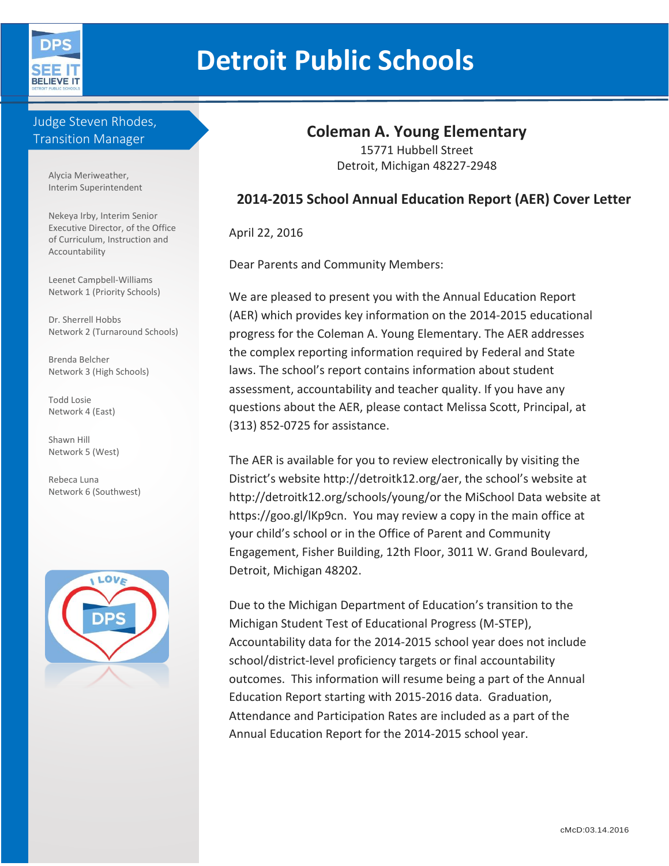

# **Detroit Public Schools**

## Judge Steven Rhodes, Transition Manager

Alycia Meriweather, Interim Superintendent

Nekeya Irby, Interim Senior Executive Director, of the Office of Curriculum, Instruction and Accountability

Leenet Campbell-Williams Network 1 (Priority Schools)

Dr. Sherrell Hobbs Network 2 (Turnaround Schools)

Brenda Belcher Network 3 (High Schools)

Todd Losie Network 4 (East)

Shawn Hill Network 5 (West)

Rebeca Luna Network 6 (Southwest)



# **Coleman A. Young Elementary**

15771 Hubbell Street Detroit, Michigan 48227-2948

# **2014-2015 School Annual Education Report (AER) Cover Letter**

April 22, 2016

Dear Parents and Community Members:

We are pleased to present you with the Annual Education Report (AER) which provides key information on the 2014-2015 educational progress for the Coleman A. Young Elementary. The AER addresses the complex reporting information required by Federal and State laws. The school's report contains information about student assessment, accountability and teacher quality. If you have any questions about the AER, please contact Melissa Scott, Principal, at (313) 852-0725 for assistance.

The AER is available for you to review electronically by visiting the District's website http://detroitk12.org/aer, the school's website at http://detroitk12.org/schools/young/or the MiSchool Data website at https://goo.gl/lKp9cn. You may review a copy in the main office at your child's school or in the Office of Parent and Community Engagement, Fisher Building, 12th Floor, 3011 W. Grand Boulevard, Detroit, Michigan 48202.

Due to the Michigan Department of Education's transition to the Michigan Student Test of Educational Progress (M-STEP), Accountability data for the 2014-2015 school year does not include school/district-level proficiency targets or final accountability outcomes. This information will resume being a part of the Annual Education Report starting with 2015-2016 data. Graduation, Attendance and Participation Rates are included as a part of the Annual Education Report for the 2014-2015 school year.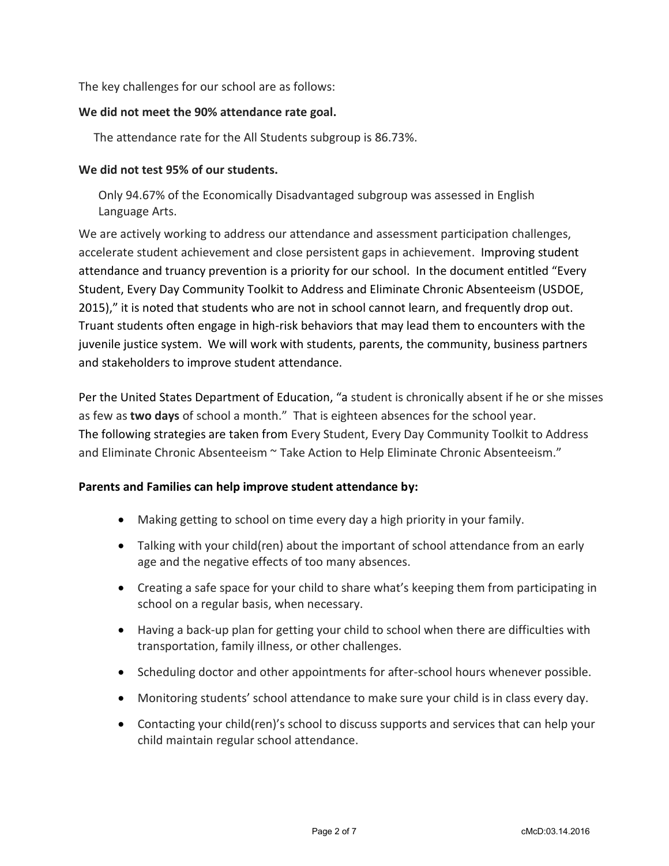The key challenges for our school are as follows:

### **We did not meet the 90% attendance rate goal.**

The attendance rate for the All Students subgroup is 86.73%.

### **We did not test 95% of our students.**

Only 94.67% of the Economically Disadvantaged subgroup was assessed in English Language Arts.

We are actively working to address our attendance and assessment participation challenges, accelerate student achievement and close persistent gaps in achievement. Improving student attendance and truancy prevention is a priority for our school. In the document entitled "Every Student, Every Day Community Toolkit to Address and Eliminate Chronic Absenteeism (USDOE, 2015)," it is noted that students who are not in school cannot learn, and frequently drop out. Truant students often engage in high-risk behaviors that may lead them to encounters with the juvenile justice system. We will work with students, parents, the community, business partners and stakeholders to improve student attendance.

Per the United States Department of Education, "a student is chronically absent if he or she misses as few as **two days** of school a month." That is eighteen absences for the school year. The following strategies are taken from Every Student, Every Day Community Toolkit to Address and Eliminate Chronic Absenteeism ~ Take Action to Help Eliminate Chronic Absenteeism."

### **Parents and Families can help improve student attendance by:**

- Making getting to school on time every day a high priority in your family.
- Talking with your child(ren) about the important of school attendance from an early age and the negative effects of too many absences.
- Creating a safe space for your child to share what's keeping them from participating in school on a regular basis, when necessary.
- Having a back-up plan for getting your child to school when there are difficulties with transportation, family illness, or other challenges.
- Scheduling doctor and other appointments for after-school hours whenever possible.
- Monitoring students' school attendance to make sure your child is in class every day.
- Contacting your child(ren)'s school to discuss supports and services that can help your child maintain regular school attendance.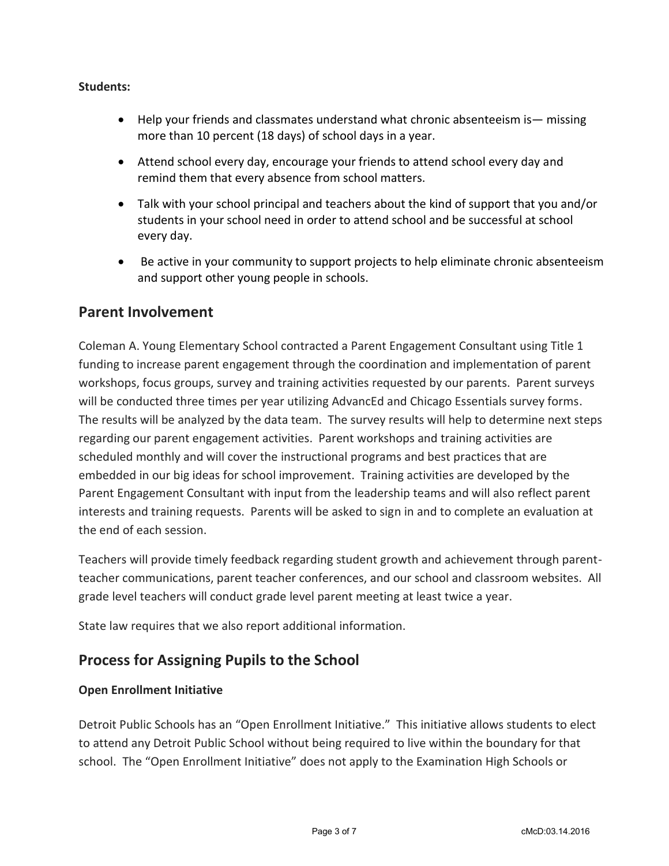### **Students:**

- Help your friends and classmates understand what chronic absenteeism is— missing more than 10 percent (18 days) of school days in a year.
- Attend school every day, encourage your friends to attend school every day and remind them that every absence from school matters.
- Talk with your school principal and teachers about the kind of support that you and/or students in your school need in order to attend school and be successful at school every day.
- Be active in your community to support projects to help eliminate chronic absenteeism and support other young people in schools.

# **Parent Involvement**

Coleman A. Young Elementary School contracted a Parent Engagement Consultant using Title 1 funding to increase parent engagement through the coordination and implementation of parent workshops, focus groups, survey and training activities requested by our parents. Parent surveys will be conducted three times per year utilizing AdvancEd and Chicago Essentials survey forms. The results will be analyzed by the data team. The survey results will help to determine next steps regarding our parent engagement activities. Parent workshops and training activities are scheduled monthly and will cover the instructional programs and best practices that are embedded in our big ideas for school improvement. Training activities are developed by the Parent Engagement Consultant with input from the leadership teams and will also reflect parent interests and training requests. Parents will be asked to sign in and to complete an evaluation at the end of each session.

Teachers will provide timely feedback regarding student growth and achievement through parentteacher communications, parent teacher conferences, and our school and classroom websites. All grade level teachers will conduct grade level parent meeting at least twice a year.

State law requires that we also report additional information.

# **Process for Assigning Pupils to the School**

### **Open Enrollment Initiative**

Detroit Public Schools has an "Open Enrollment Initiative." This initiative allows students to elect to attend any Detroit Public School without being required to live within the boundary for that school. The "Open Enrollment Initiative" does not apply to the Examination High Schools or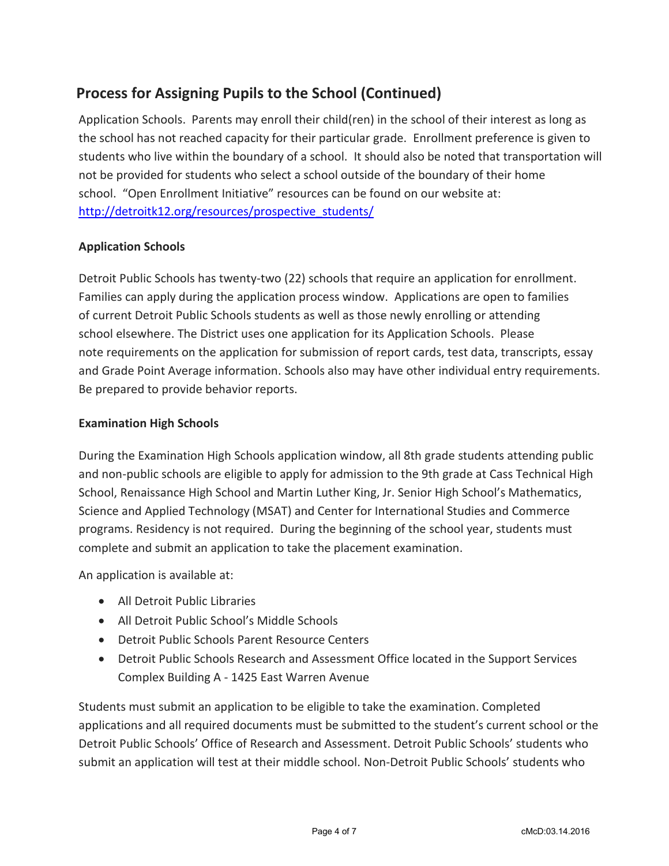# **Process for Assigning Pupils to the School (Continued)**

Application Schools. Parents may enroll their child(ren) in the school of their interest as long as the school has not reached capacity for their particular grade. Enrollment preference is given to students who live within the boundary of a school. It should also be noted that transportation will not be provided for students who select a school outside of the boundary of their home school. "Open Enrollment Initiative" resources can be found on our website at: [http://detroitk12.org/resources/prospective\\_students/](http://detroitk12.org/resources/prospective_students/)

### **Application Schools**

Detroit Public Schools has twenty-two (22) schools that require an application for enrollment. Families can apply during the application process window. Applications are open to families of current Detroit Public Schools students as well as those newly enrolling or attending school elsewhere. The District uses one application for its Application Schools. Please note requirements on the application for submission of report cards, test data, transcripts, essay and Grade Point Average information. Schools also may have other individual entry requirements. Be prepared to provide behavior reports.

### **Examination High Schools**

During the Examination High Schools application window, all 8th grade students attending public and non-public schools are eligible to apply for admission to the 9th grade at Cass Technical High School, Renaissance High School and Martin Luther King, Jr. Senior High School's Mathematics, Science and Applied Technology (MSAT) and Center for International Studies and Commerce programs. Residency is not required. During the beginning of the school year, students must complete and submit an application to take the placement examination.

An application is available at:

- All Detroit Public Libraries
- All Detroit Public School's Middle Schools
- Detroit Public Schools Parent Resource Centers
- Detroit Public Schools Research and Assessment Office located in the Support Services Complex Building A - 1425 East Warren Avenue

Students must submit an application to be eligible to take the examination. Completed applications and all required documents must be submitted to the student's current school or the Detroit Public Schools' Office of Research and Assessment. Detroit Public Schools' students who submit an application will test at their middle school. Non-Detroit Public Schools' students who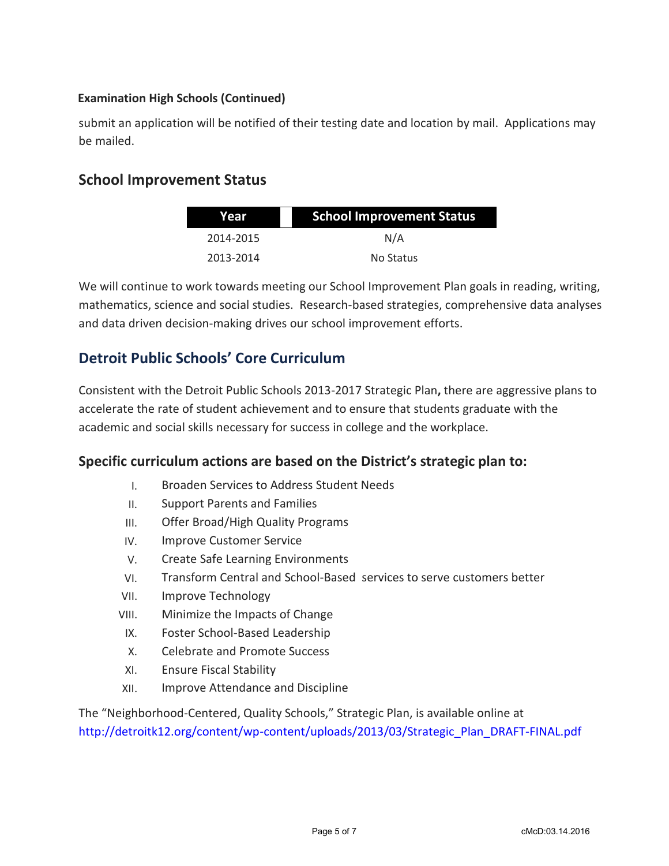### **Examination High Schools (Continued)**

submit an application will be notified of their testing date and location by mail. Applications may be mailed.

# **School Improvement Status**

| Year      | <b>School Improvement Status</b> |  |
|-----------|----------------------------------|--|
| 2014-2015 | N/A                              |  |
| 2013-2014 | No Status                        |  |

We will continue to work towards meeting our School Improvement Plan goals in reading, writing, mathematics, science and social studies. Research-based strategies, comprehensive data analyses and data driven decision-making drives our school improvement efforts.

# **Detroit Public Schools' Core Curriculum**

Consistent with the Detroit Public Schools 2013-2017 Strategic Plan**,** there are aggressive plans to accelerate the rate of student achievement and to ensure that students graduate with the academic and social skills necessary for success in college and the workplace.

## **Specific curriculum actions are based on the District's strategic plan to:**

- I. Broaden Services to Address Student Needs
- II. Support Parents and Families
- III. Offer Broad/High Quality Programs
- IV. Improve Customer Service
- V. Create Safe Learning Environments
- VI. Transform Central and School-Based services to serve customers better
- VII. Improve Technology
- VIII. Minimize the Impacts of Change
- IX. Foster School-Based Leadership
- X. Celebrate and Promote Success
- XI. Ensure Fiscal Stability
- XII. Improve Attendance and Discipline

The "Neighborhood-Centered, Quality Schools," Strategic Plan, is available online at [http://detroitk12.org/content/wp-content/uploads/2013/03/Strategic\\_Plan\\_DRAFT-FINAL.pdf](http://detroitk12.org/content/wp-content/uploads/2013/03/Strategic_Plan_DRAFT-FINAL.pdf)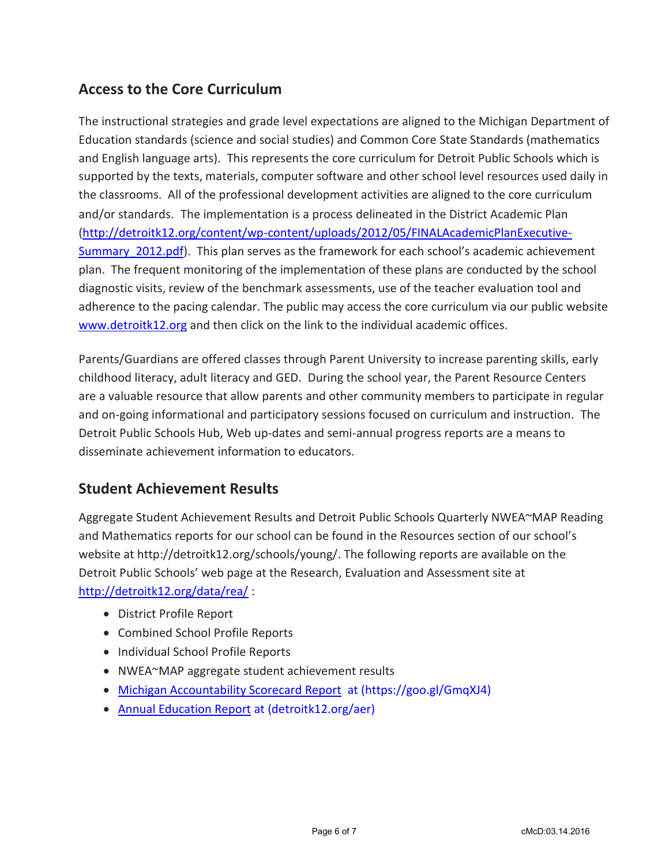# **Access to the Core Curriculum**

The instructional strategies and grade level expectations are aligned to the Michigan Department of Education standards (science and social studies) and Common Core State Standards (mathematics and English language arts). This represents the core curriculum for Detroit Public Schools which is supported by the texts, materials, computer software and other school level resources used daily in the classrooms. All of the professional development activities are aligned to the core curriculum and/or standards. The implementation is a process delineated in the District Academic Plan [\(http://detroitk12.org/content/wp-content/uploads/2012/05/FINALAcademicPlanExecutive-](http://detroitk12.org/content/wp-content/uploads/2012/05/FINALAcademicPlanExecutive-Summary_2012.pdf)Summary 2012.pdf). This plan serves as the framework for each school's academic achievement plan. The frequent monitoring of the implementation of these plans are conducted by the school diagnostic visits, review of the benchmark assessments, use of the teacher evaluation tool and adherence to the pacing calendar. The public may access the core curriculum via our public website [www.detroitk12.org](http://www.detroitk12.org/) and then click on the link to the individual academic offices.

Parents/Guardians are offered classes through Parent University to increase parenting skills, early childhood literacy, adult literacy and GED. During the school year, the Parent Resource Centers are a valuable resource that allow parents and other community members to participate in regular and on-going informational and participatory sessions focused on curriculum and instruction. The Detroit Public Schools Hub, Web up-dates and semi-annual progress reports are a means to disseminate achievement information to educators.

# **Student Achievement Results**

Aggregate Student Achievement Results and Detroit Public Schools Quarterly NWEA~MAP Reading and Mathematics reports for our school can be found in the Resources section of our school's website at http://detroitk12.org/schools/young/. The following reports are available on the Detroit Public Schools' web page at the Research, Evaluation and Assessment site at <http://detroitk12.org/data/rea/> :

- District Profile Report
- Combined School Profile Reports
- Individual School Profile Reports
- NWEA~MAP aggregate student achievement results
- [Michigan Accountability Scorecard Report](https://goo.gl/GmqXJ4) at (https://goo.gl/GmqXJ4)
- [Annual Education Report](http://detroitk12.org/aer) at (detroitk12.org/aer)